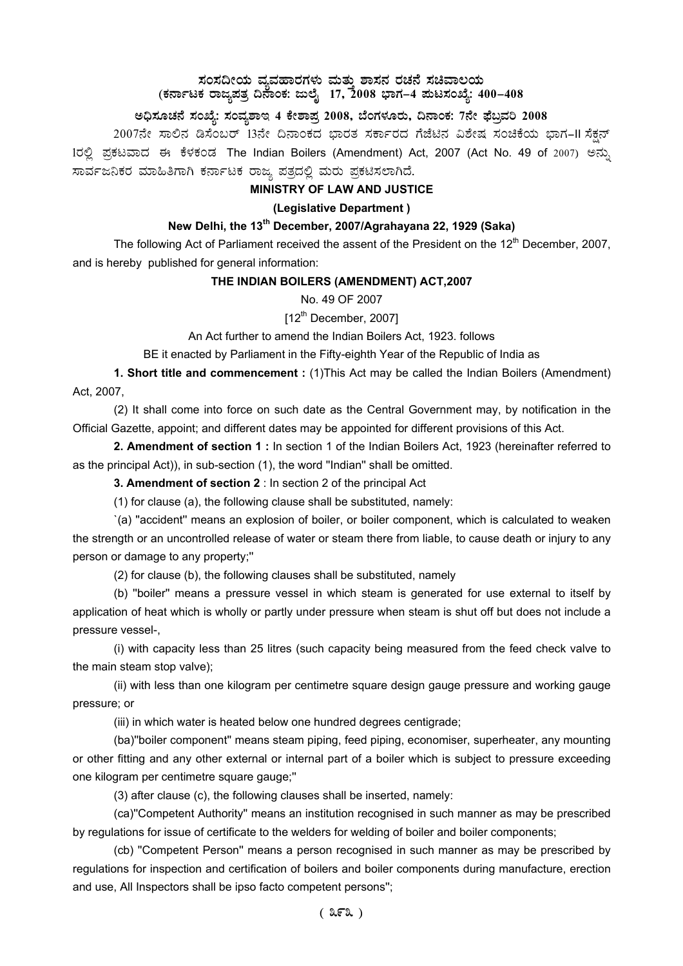## $\,$ ಸಂಸದೀಯ ವ್ಯವಹಾರಗಳು ಮತ್ತು ಶಾಸನ ರಚನೆ ಸಚಿವಾಲಯ (ಕರ್ನಾಟಕ ರಾಜ್ಯಪತ್ರ ದಿನಾಂಕ: ಜುಲೈ 17, 2008 ಭಾಗ–4 **ಮಟಸಂಖ್ಯೆ: 400–408**

# ಅಧಿಸೂಚನೆ ಸಂಖ್ಯೆ: ಸಂವ್ಯಶಾಇ 4 ಕೇಶಾಪ್ರ 2008, ಬೆಂಗಳೂರು, ದಿನಾಂಕ: 7ನೇ ಫೆಬ್ರವರಿ 2008

2007ನೇ ಸಾಲಿನ ಡಿಸೆಂಬರ್ 13ನೇ ದಿನಾಂಕದ ಭಾರತ ಸರ್ಕಾರದ ಗೆಜೆಟಿನ ವಿಶೇಷ ಸಂಚಿಕೆಯ ಭಾಗ-II ಸೆಕ್ಷನ್ 1ರಲ್ಲಿ ಪ್ರಕಟವಾದ ಈ ಕೆಳಕಂಡ The Indian Boilers (Amendment) Act, 2007 (Act No. 49 of 2007) ಅನ್ಸು ಸಾರ್ವಜನಿಕರ ಮಾಹಿತಿಗಾಗಿ ಕರ್ನಾಟಕ ರಾಜ್ಯ ಪತ್ರದಲ್ಲಿ ಮರು ಪ್ರಕಟಿಸಲಾಗಿದೆ.

## **MINISTRY OF LAW AND JUSTICE**

# **(Legislative Department )**

# **New Delhi, the 13th December, 2007/Agrahayana 22, 1929 (Saka)**

The following Act of Parliament received the assent of the President on the  $12<sup>th</sup>$  December, 2007, and is hereby published for general information:

### **THE INDIAN BOILERS (AMENDMENT) ACT,2007**

No. 49 OF 2007

 $[12^{th}$  December, 2007]

An Act further to amend the Indian Boilers Act, 1923. follows

BE it enacted by Parliament in the Fifty-eighth Year of the Republic of India as

**1. Short title and commencement :** (1)This Act may be called the Indian Boilers (Amendment) Act, 2007,

(2) It shall come into force on such date as the Central Government may, by notification in the Official Gazette, appoint; and different dates may be appointed for different provisions of this Act.

**2. Amendment of section 1 :** In section 1 of the Indian Boilers Act, 1923 (hereinafter referred to as the principal Act)), in sub-section (1), the word ''Indian'' shall be omitted.

**3. Amendment of section 2** : In section 2 of the principal Act

(1) for clause (a), the following clause shall be substituted, namely:

`(a) ''accident'' means an explosion of boiler, or boiler component, which is calculated to weaken the strength or an uncontrolled release of water or steam there from liable, to cause death or injury to any person or damage to any property;''

(2) for clause (b), the following clauses shall be substituted, namely

(b) ''boiler'' means a pressure vessel in which steam is generated for use external to itself by application of heat which is wholly or partly under pressure when steam is shut off but does not include a pressure vessel-,

(i) with capacity less than 25 litres (such capacity being measured from the feed check valve to the main steam stop valve);

(ii) with less than one kilogram per centimetre square design gauge pressure and working gauge pressure; or

(iii) in which water is heated below one hundred degrees centigrade;

(ba)''boiler component'' means steam piping, feed piping, economiser, superheater, any mounting or other fitting and any other external or internal part of a boiler which is subject to pressure exceeding one kilogram per centimetre square gauge;''

(3) after clause (c), the following clauses shall be inserted, namely:

(ca)''Competent Authority'' means an institution recognised in such manner as may be prescribed by regulations for issue of certificate to the welders for welding of boiler and boiler components;

(cb) ''Competent Person'' means a person recognised in such manner as may be prescribed by regulations for inspection and certification of boilers and boiler components during manufacture, erection and use, All Inspectors shall be ipso facto competent persons'';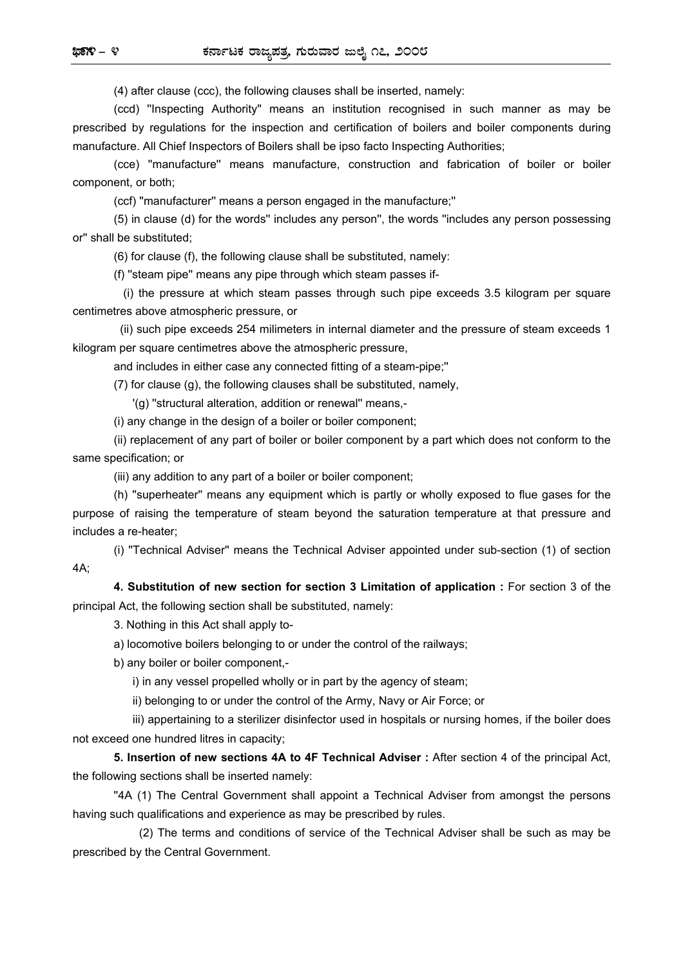(4) after clause (ccc), the following clauses shall be inserted, namely:

(ccd) ''Inspecting Authority'' means an institution recognised in such manner as may be prescribed by regulations for the inspection and certification of boilers and boiler components during manufacture. All Chief Inspectors of Boilers shall be ipso facto Inspecting Authorities;

(cce) ''manufacture'' means manufacture, construction and fabrication of boiler or boiler component, or both;

(ccf) ''manufacturer'' means a person engaged in the manufacture;''

(5) in clause (d) for the words'' includes any person'', the words ''includes any person possessing or'' shall be substituted;

(6) for clause (f), the following clause shall be substituted, namely:

(f) ''steam pipe'' means any pipe through which steam passes if-

(i) the pressure at which steam passes through such pipe exceeds 3.5 kilogram per square centimetres above atmospheric pressure, or

(ii) such pipe exceeds 254 milimeters in internal diameter and the pressure of steam exceeds 1 kilogram per square centimetres above the atmospheric pressure,

and includes in either case any connected fitting of a steam-pipe;''

(7) for clause (g), the following clauses shall be substituted, namely,

'(g) ''structural alteration, addition or renewal'' means,-

(i) any change in the design of a boiler or boiler component;

(ii) replacement of any part of boiler or boiler component by a part which does not conform to the same specification; or

(iii) any addition to any part of a boiler or boiler component;

(h) ''superheater'' means any equipment which is partly or wholly exposed to flue gases for the purpose of raising the temperature of steam beyond the saturation temperature at that pressure and includes a re-heater;

(i) ''Technical Adviser'' means the Technical Adviser appointed under sub-section (1) of section 4A;

**4. Substitution of new section for section 3 Limitation of application :** For section 3 of the principal Act, the following section shall be substituted, namely:

3. Nothing in this Act shall apply to-

a) locomotive boilers belonging to or under the control of the railways;

b) any boiler or boiler component,-

i) in any vessel propelled wholly or in part by the agency of steam;

ii) belonging to or under the control of the Army, Navy or Air Force; or

iii) appertaining to a sterilizer disinfector used in hospitals or nursing homes, if the boiler does not exceed one hundred litres in capacity;

**5. Insertion of new sections 4A to 4F Technical Adviser :** After section 4 of the principal Act, the following sections shall be inserted namely:

"4A (1) The Central Government shall appoint a Technical Adviser from amongst the persons having such qualifications and experience as may be prescribed by rules.

(2) The terms and conditions of service of the Technical Adviser shall be such as may be prescribed by the Central Government.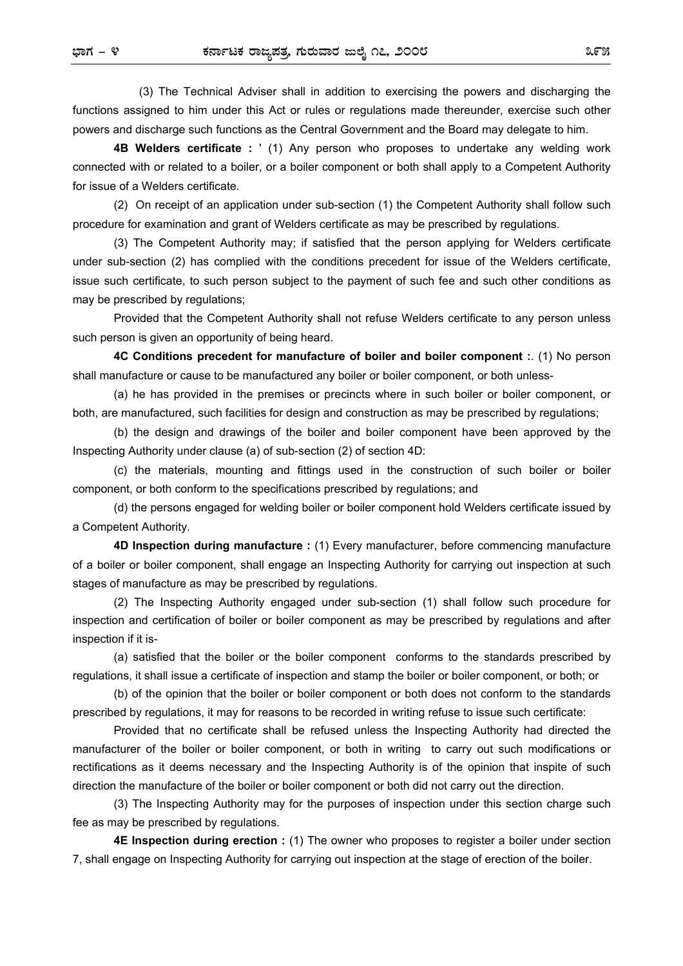(3) The Technical Adviser shall in addition to exercising the powers and discharging the functions assigned to him under this Act or rules or regulations made thereunder, exercise such other powers and discharge such functions as the Central Government and the Board may delegate to him.

**4B Welders certificate :** ' (1) Any person who proposes to undertake any welding work connected with or related to a boiler, or a boiler component or both shall apply to a Competent Authority for issue of a Welders certificate.

(2) On receipt of an application under sub-section (1) the Competent Authority shall follow such procedure for examination and grant of Welders certificate as may be prescribed by regulations.

(3) The Competent Authority may; if satisfied that the person applying for Welders certificate under sub-section (2) has complied with the conditions precedent for issue of the Welders certificate, issue such certificate, to such person subject to the payment of such fee and such other conditions as may be prescribed by regulations;

Provided that the Competent Authority shall not refuse Welders certificate to any person unless such person is given an opportunity of being heard.

**4C Conditions precedent for manufacture of boiler and boiler component :**. (1) No person shall manufacture or cause to be manufactured any boiler or boiler component, or both unless-

(a) he has provided in the premises or precincts where in such boiler or boiler component, or both, are manufactured, such facilities for design and construction as may be prescribed by regulations;

(b) the design and drawings of the boiler and boiler component have been approved by the Inspecting Authority under clause (a) of sub-section (2) of section 4D:

(c) the materials, mounting and fittings used in the construction of such boiler or boiler component, or both conform to the specifications prescribed by regulations; and

(d) the persons engaged for welding boiler or boiler component hold Welders certificate issued by a Competent Authority.

**4D Inspection during manufacture :** (1) Every manufacturer, before commencing manufacture of a boiler or boiler component, shall engage an Inspecting Authority for carrying out inspection at such stages of manufacture as may be prescribed by regulations.

(2) The Inspecting Authority engaged under sub-section (1) shall follow such procedure for inspection and certification of boiler or boiler component as may be prescribed by regulations and after inspection if it is-

(a) satisfied that the boiler or the boiler component conforms to the standards prescribed by regulations, it shall issue a certificate of inspection and stamp the boiler or boiler component, or both; or

(b) of the opinion that the boiler or boiler component or both does not conform to the standards prescribed by regulations, it may for reasons to be recorded in writing refuse to issue such certificate:

Provided that no certificate shall be refused unless the Inspecting Authority had directed the manufacturer of the boiler or boiler component, or both in writing to carry out such modifications or rectifications as it deems necessary and the Inspecting Authority is of the opinion that inspite of such direction the manufacture of the boiler or boiler component or both did not carry out the direction.

(3) The Inspecting Authority may for the purposes of inspection under this section charge such fee as may be prescribed by regulations.

**4E Inspection during erection :** (1) The owner who proposes to register a boiler under section 7, shall engage on Inspecting Authority for carrying out inspection at the stage of erection of the boiler.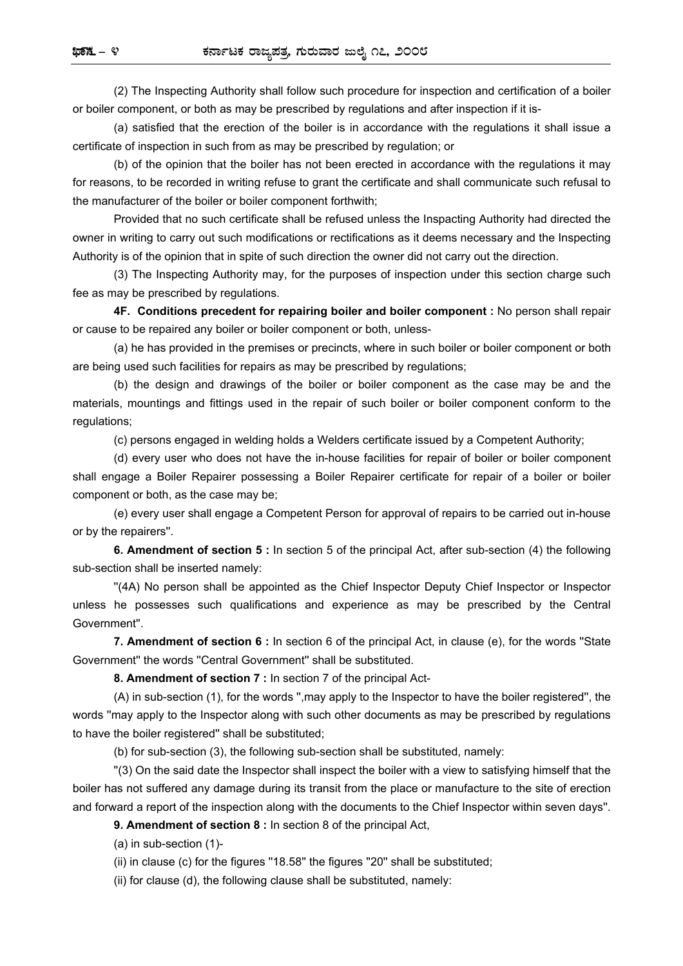(2) The Inspecting Authority shall follow such procedure for inspection and certification of a boiler or boiler component, or both as may be prescribed by regulations and after inspection if it is-

(a) satisfied that the erection of the boiler is in accordance with the regulations it shall issue a certificate of inspection in such from as may be prescribed by regulation; or

(b) of the opinion that the boiler has not been erected in accordance with the regulations it may for reasons, to be recorded in writing refuse to grant the certificate and shall communicate such refusal to the manufacturer of the boiler or boiler component forthwith;

Provided that no such certificate shall be refused unless the Inspacting Authority had directed the owner in writing to carry out such modifications or rectifications as it deems necessary and the Inspecting Authority is of the opinion that in spite of such direction the owner did not carry out the direction.

(3) The Inspecting Authority may, for the purposes of inspection under this section charge such fee as may be prescribed by regulations.

**4F. Conditions precedent for repairing boiler and boiler component :** No person shall repair or cause to be repaired any boiler or boiler component or both, unless-

(a) he has provided in the premises or precincts, where in such boiler or boiler component or both are being used such facilities for repairs as may be prescribed by regulations;

(b) the design and drawings of the boiler or boiler component as the case may be and the materials, mountings and fittings used in the repair of such boiler or boiler component conform to the regulations;

(c) persons engaged in welding holds a Welders certificate issued by a Competent Authority;

(d) every user who does not have the in-house facilities for repair of boiler or boiler component shall engage a Boiler Repairer possessing a Boiler Repairer certificate for repair of a boiler or boiler component or both, as the case may be;

(e) every user shall engage a Competent Person for approval of repairs to be carried out in-house or by the repairers''.

**6. Amendment of section 5 :** In section 5 of the principal Act, after sub-section (4) the following sub-section shall be inserted namely:

''(4A) No person shall be appointed as the Chief Inspector Deputy Chief Inspector or Inspector unless he possesses such qualifications and experience as may be prescribed by the Central Government''.

**7. Amendment of section 6 :** In section 6 of the principal Act, in clause (e), for the words ''State Government'' the words ''Central Government'' shall be substituted.

**8. Amendment of section 7 :** In section 7 of the principal Act-

(A) in sub-section (1), for the words '',may apply to the Inspector to have the boiler registered'', the words ''may apply to the Inspector along with such other documents as may be prescribed by regulations to have the boiler registered'' shall be substituted;

(b) for sub-section (3), the following sub-section shall be substituted, namely:

''(3) On the said date the Inspector shall inspect the boiler with a view to satisfying himself that the boiler has not suffered any damage during its transit from the place or manufacture to the site of erection and forward a report of the inspection along with the documents to the Chief Inspector within seven days''.

#### **9. Amendment of section 8 :** In section 8 of the principal Act,

(a) in sub-section (1)-

(ii) in clause (c) for the figures ''18.58'' the figures ''20'' shall be substituted;

(ii) for clause (d), the following clause shall be substituted, namely: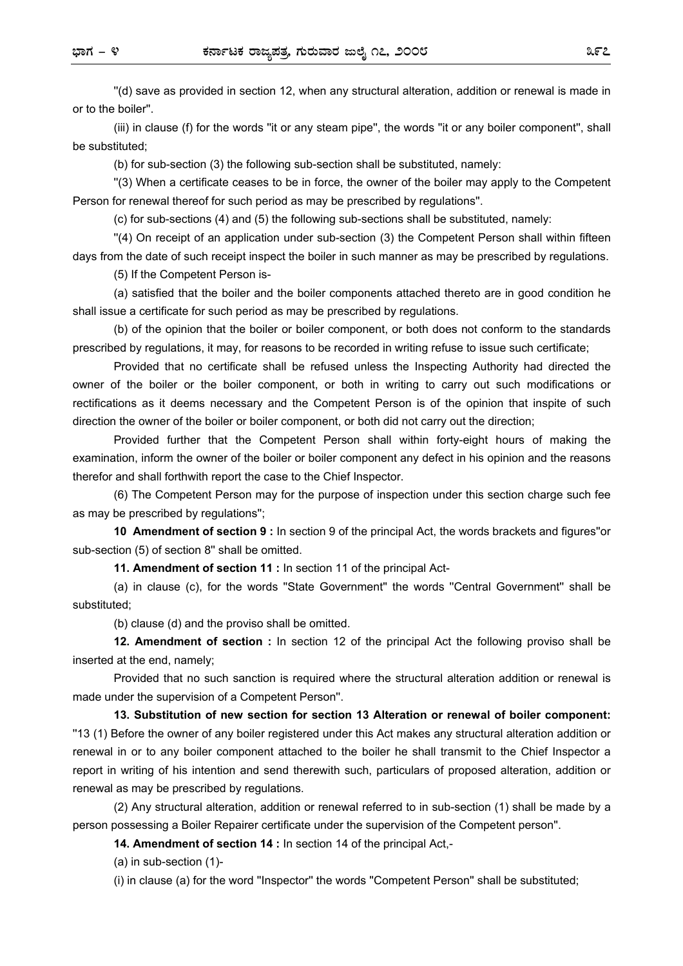''(d) save as provided in section 12, when any structural alteration, addition or renewal is made in or to the boiler''.

(iii) in clause (f) for the words ''it or any steam pipe'', the words ''it or any boiler component'', shall be substituted;

(b) for sub-section (3) the following sub-section shall be substituted, namely:

''(3) When a certificate ceases to be in force, the owner of the boiler may apply to the Competent Person for renewal thereof for such period as may be prescribed by regulations''.

(c) for sub-sections (4) and (5) the following sub-sections shall be substituted, namely:

''(4) On receipt of an application under sub-section (3) the Competent Person shall within fifteen days from the date of such receipt inspect the boiler in such manner as may be prescribed by regulations.

(5) If the Competent Person is-

(a) satisfied that the boiler and the boiler components attached thereto are in good condition he shall issue a certificate for such period as may be prescribed by regulations.

(b) of the opinion that the boiler or boiler component, or both does not conform to the standards prescribed by regulations, it may, for reasons to be recorded in writing refuse to issue such certificate;

Provided that no certificate shall be refused unless the Inspecting Authority had directed the owner of the boiler or the boiler component, or both in writing to carry out such modifications or rectifications as it deems necessary and the Competent Person is of the opinion that inspite of such direction the owner of the boiler or boiler component, or both did not carry out the direction;

Provided further that the Competent Person shall within forty-eight hours of making the examination, inform the owner of the boiler or boiler component any defect in his opinion and the reasons therefor and shall forthwith report the case to the Chief Inspector.

(6) The Competent Person may for the purpose of inspection under this section charge such fee as may be prescribed by regulations'';

**10 Amendment of section 9 :** In section 9 of the principal Act, the words brackets and figures''or sub-section (5) of section 8'' shall be omitted.

**11. Amendment of section 11 :** In section 11 of the principal Act-

(a) in clause (c), for the words ''State Government'' the words ''Central Government'' shall be substituted;

(b) clause (d) and the proviso shall be omitted.

**12. Amendment of section :** In section 12 of the principal Act the following proviso shall be inserted at the end, namely;

Provided that no such sanction is required where the structural alteration addition or renewal is made under the supervision of a Competent Person''.

**13. Substitution of new section for section 13 Alteration or renewal of boiler component:**  ''13 (1) Before the owner of any boiler registered under this Act makes any structural alteration addition or renewal in or to any boiler component attached to the boiler he shall transmit to the Chief Inspector a report in writing of his intention and send therewith such, particulars of proposed alteration, addition or renewal as may be prescribed by regulations.

(2) Any structural alteration, addition or renewal referred to in sub-section (1) shall be made by a person possessing a Boiler Repairer certificate under the supervision of the Competent person''.

**14. Amendment of section 14 :** In section 14 of the principal Act,-

(a) in sub-section (1)-

(i) in clause (a) for the word ''Inspector'' the words ''Competent Person'' shall be substituted;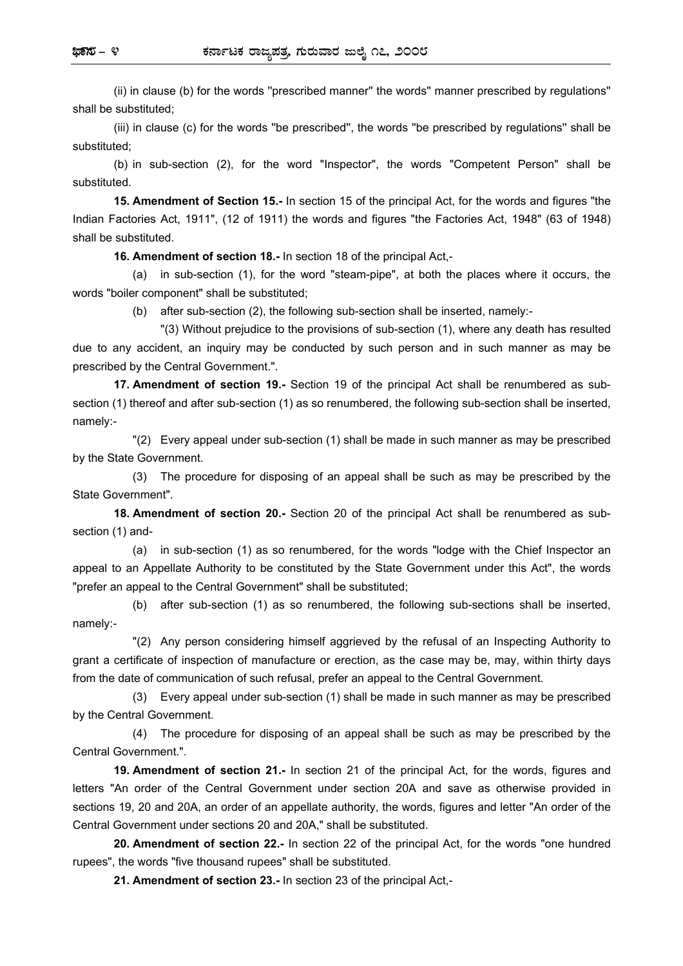(ii) in clause (b) for the words ''prescribed manner'' the words'' manner prescribed by regulations'' shall be substituted;

(iii) in clause (c) for the words ''be prescribed'', the words ''be prescribed by regulations'' shall be substituted;

(b) in sub-section (2), for the word "Inspector", the words "Competent Person" shall be substituted.

**15. Amendment of Section 15.-** In section 15 of the principal Act, for the words and figures "the Indian Factories Act, 1911", (12 of 1911) the words and figures "the Factories Act, 1948" (63 of 1948) shall be substituted.

**16. Amendment of section 18.-** In section 18 of the principal Act,-

(a) in sub-section (1), for the word "steam-pipe", at both the places where it occurs, the words "boiler component" shall be substituted;

(b) after sub-section (2), the following sub-section shall be inserted, namely:-

"(3) Without prejudice to the provisions of sub-section (1), where any death has resulted due to any accident, an inquiry may be conducted by such person and in such manner as may be prescribed by the Central Government.".

**17. Amendment of section 19.-** Section 19 of the principal Act shall be renumbered as subsection (1) thereof and after sub-section (1) as so renumbered, the following sub-section shall be inserted, namely:-

"(2) Every appeal under sub-section (1) shall be made in such manner as may be prescribed by the State Government.

(3) The procedure for disposing of an appeal shall be such as may be prescribed by the State Government".

**18. Amendment of section 20.-** Section 20 of the principal Act shall be renumbered as subsection (1) and-

(a) in sub-section (1) as so renumbered, for the words "lodge with the Chief Inspector an appeal to an Appellate Authority to be constituted by the State Government under this Act", the words "prefer an appeal to the Central Government" shall be substituted;

(b) after sub-section (1) as so renumbered, the following sub-sections shall be inserted, namely:-

"(2) Any person considering himself aggrieved by the refusal of an Inspecting Authority to grant a certificate of inspection of manufacture or erection, as the case may be, may, within thirty days from the date of communication of such refusal, prefer an appeal to the Central Government.

(3) Every appeal under sub-section (1) shall be made in such manner as may be prescribed by the Central Government.

(4) The procedure for disposing of an appeal shall be such as may be prescribed by the Central Government.".

**19. Amendment of section 21.-** In section 21 of the principal Act, for the words, figures and letters "An order of the Central Government under section 20A and save as otherwise provided in sections 19, 20 and 20A, an order of an appellate authority, the words, figures and letter "An order of the Central Government under sections 20 and 20A," shall be substituted.

**20. Amendment of section 22.-** In section 22 of the principal Act, for the words "one hundred rupees", the words "five thousand rupees" shall be substituted.

**21. Amendment of section 23.-** In section 23 of the principal Act,-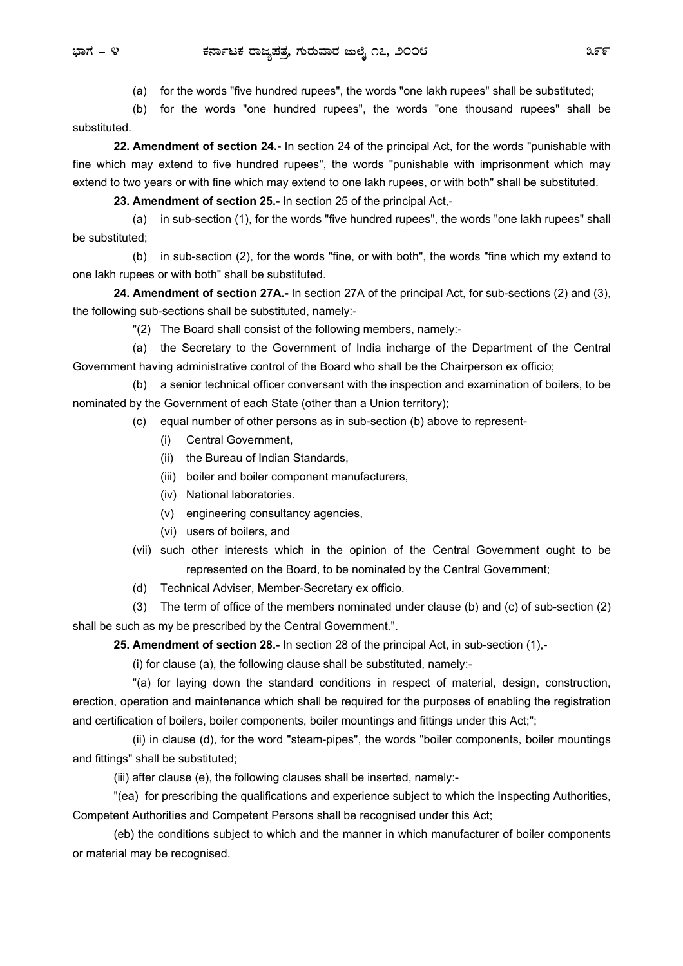(a) for the words "five hundred rupees", the words "one lakh rupees" shall be substituted;

(b) for the words "one hundred rupees", the words "one thousand rupees" shall be substituted.

**22. Amendment of section 24.-** In section 24 of the principal Act, for the words "punishable with fine which may extend to five hundred rupees", the words "punishable with imprisonment which may extend to two years or with fine which may extend to one lakh rupees, or with both" shall be substituted.

**23. Amendment of section 25.-** In section 25 of the principal Act,-

(a) in sub-section (1), for the words "five hundred rupees", the words "one lakh rupees" shall be substituted;

(b) in sub-section (2), for the words "fine, or with both", the words "fine which my extend to one lakh rupees or with both" shall be substituted.

**24. Amendment of section 27A.-** In section 27A of the principal Act, for sub-sections (2) and (3), the following sub-sections shall be substituted, namely:-

"(2) The Board shall consist of the following members, namely:-

(a) the Secretary to the Government of India incharge of the Department of the Central Government having administrative control of the Board who shall be the Chairperson ex officio;

(b) a senior technical officer conversant with the inspection and examination of boilers, to be nominated by the Government of each State (other than a Union territory);

(c) equal number of other persons as in sub-section (b) above to represent-

- (i) Central Government,
- (ii) the Bureau of Indian Standards,
- (iii) boiler and boiler component manufacturers,
- (iv) National laboratories.
- (v) engineering consultancy agencies,
- (vi) users of boilers, and
- (vii) such other interests which in the opinion of the Central Government ought to be represented on the Board, to be nominated by the Central Government;
- (d) Technical Adviser, Member-Secretary ex officio.

(3) The term of office of the members nominated under clause (b) and (c) of sub-section (2) shall be such as my be prescribed by the Central Government.".

**25. Amendment of section 28.-** In section 28 of the principal Act, in sub-section (1),-

(i) for clause (a), the following clause shall be substituted, namely:-

"(a) for laying down the standard conditions in respect of material, design, construction, erection, operation and maintenance which shall be required for the purposes of enabling the registration and certification of boilers, boiler components, boiler mountings and fittings under this Act;";

(ii) in clause (d), for the word "steam-pipes", the words "boiler components, boiler mountings and fittings" shall be substituted;

(iii) after clause (e), the following clauses shall be inserted, namely:-

"(ea) for prescribing the qualifications and experience subject to which the Inspecting Authorities, Competent Authorities and Competent Persons shall be recognised under this Act;

(eb) the conditions subject to which and the manner in which manufacturer of boiler components or material may be recognised.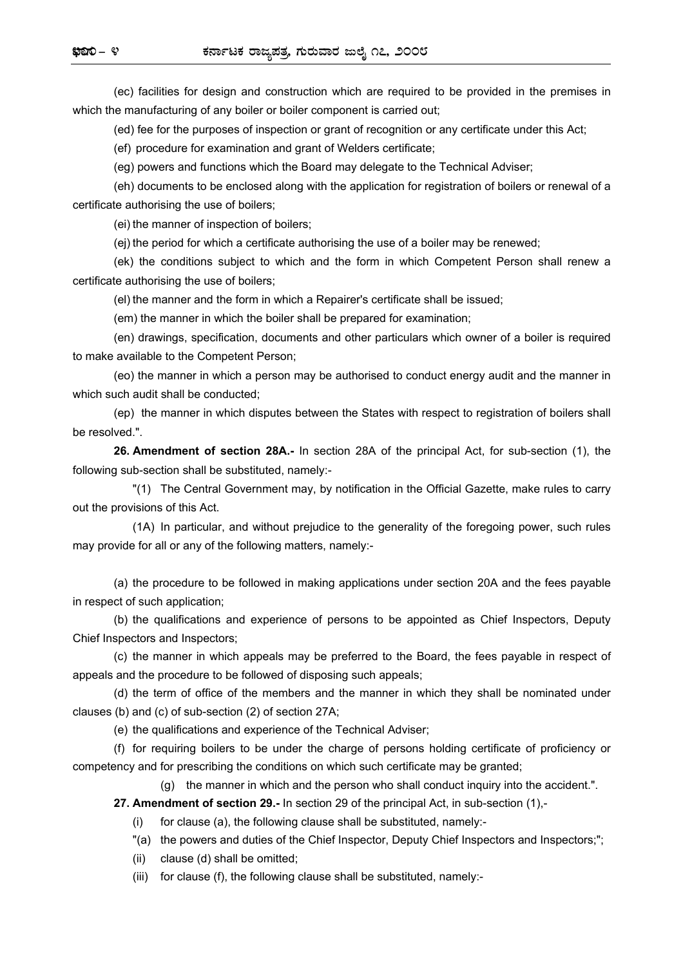(ec) facilities for design and construction which are required to be provided in the premises in which the manufacturing of any boiler or boiler component is carried out;

(ed) fee for the purposes of inspection or grant of recognition or any certificate under this Act;

(ef) procedure for examination and grant of Welders certificate;

(eg) powers and functions which the Board may delegate to the Technical Adviser;

(eh) documents to be enclosed along with the application for registration of boilers or renewal of a certificate authorising the use of boilers;

(ei) the manner of inspection of boilers;

(ej) the period for which a certificate authorising the use of a boiler may be renewed;

(ek) the conditions subject to which and the form in which Competent Person shall renew a certificate authorising the use of boilers;

(el) the manner and the form in which a Repairer's certificate shall be issued;

(em) the manner in which the boiler shall be prepared for examination;

(en) drawings, specification, documents and other particulars which owner of a boiler is required to make available to the Competent Person;

(eo) the manner in which a person may be authorised to conduct energy audit and the manner in which such audit shall be conducted;

(ep) the manner in which disputes between the States with respect to registration of boilers shall be resolved.".

**26. Amendment of section 28A.-** In section 28A of the principal Act, for sub-section (1), the following sub-section shall be substituted, namely:-

"(1) The Central Government may, by notification in the Official Gazette, make rules to carry out the provisions of this Act.

(1A) In particular, and without prejudice to the generality of the foregoing power, such rules may provide for all or any of the following matters, namely:-

(a) the procedure to be followed in making applications under section 20A and the fees payable in respect of such application;

(b) the qualifications and experience of persons to be appointed as Chief Inspectors, Deputy Chief Inspectors and Inspectors;

(c) the manner in which appeals may be preferred to the Board, the fees payable in respect of appeals and the procedure to be followed of disposing such appeals;

(d) the term of office of the members and the manner in which they shall be nominated under clauses (b) and (c) of sub-section (2) of section 27A;

(e) the qualifications and experience of the Technical Adviser;

(f) for requiring boilers to be under the charge of persons holding certificate of proficiency or competency and for prescribing the conditions on which such certificate may be granted;

(g) the manner in which and the person who shall conduct inquiry into the accident.".

**27. Amendment of section 29.-** In section 29 of the principal Act, in sub-section (1),-

(i) for clause (a), the following clause shall be substituted, namely:-

"(a) the powers and duties of the Chief Inspector, Deputy Chief Inspectors and Inspectors;";

(ii) clause (d) shall be omitted;

(iii) for clause (f), the following clause shall be substituted, namely:-